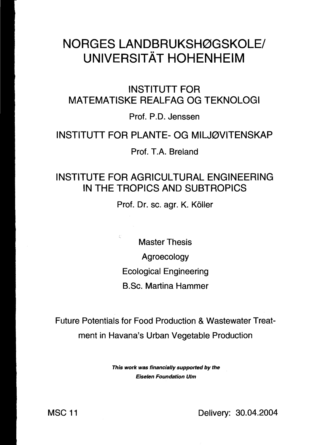## NORGES LANDBRUKSHØGSKOLE/ **UNIVERSITÄT HOHENHEIM**

INSTITUTT FOR MATEMATISKE REALFAG OG TEKNOLOGI

Prof. P.D. Jenssen

## INSTITUTT FOR PLANTE- OG MILJ0VITENSKAP

Prof. T.A. Breland

## INSTITUTE FOR AGRICUL TURAL ENGINEERING IN THE TROPICS AND SUBTROPICS

Prof. Dr. sc. agr. K. Köller

Master Thesis

Agroecology

Ecological Engineering

B.Sc. Martina Hammer

Future Potentials for Food Production & Wastewater Treat ment in Havana's Urban Vegetable Production

> This work was financially supported by the Eiselen Foundation Ulm

MSC 11 Delivery: 30.04.2004